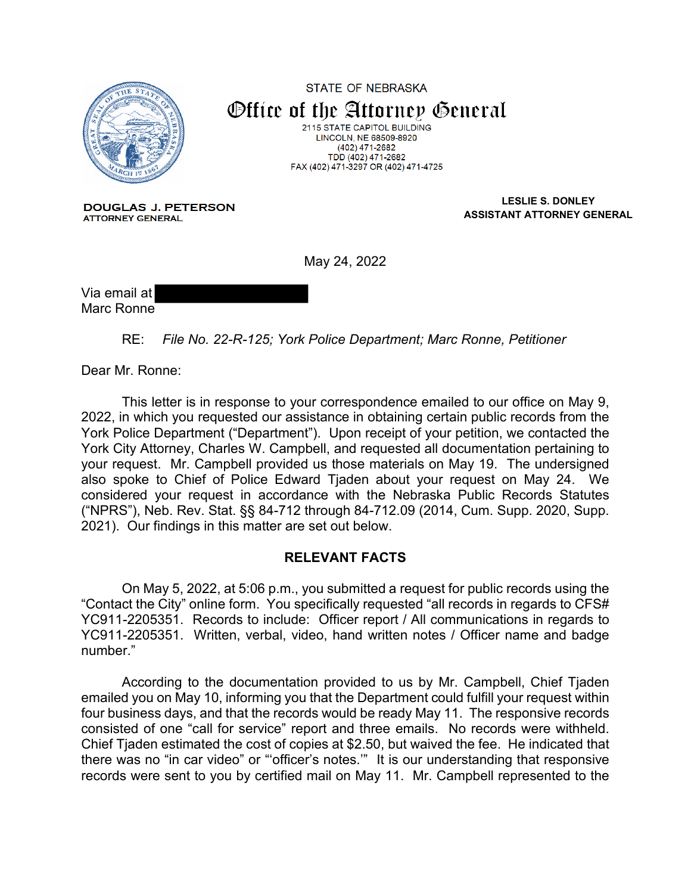

**STATE OF NEBRASKA** Office of the Attorney General 2115 STATE CAPITOL BUILDING LINCOLN, NE 68509-8920  $(402)$  471-2682

TDD (402) 471-2682 FAX (402) 471-3297 OR (402) 471-4725

**DOUGLAS J. PETERSON ATTORNEY GENERAL** 

**LESLIE S. DONLEY ASSISTANT ATTORNEY GENERAL**

May 24, 2022

Via email at Marc Ronne

RE: *File No. 22-R-125; York Police Department; Marc Ronne, Petitioner*

Dear Mr. Ronne:

This letter is in response to your correspondence emailed to our office on May 9, 2022, in which you requested our assistance in obtaining certain public records from the York Police Department ("Department"). Upon receipt of your petition, we contacted the York City Attorney, Charles W. Campbell, and requested all documentation pertaining to your request. Mr. Campbell provided us those materials on May 19. The undersigned also spoke to Chief of Police Edward Tjaden about your request on May 24. We considered your request in accordance with the Nebraska Public Records Statutes ("NPRS"), Neb. Rev. Stat. §§ 84-712 through 84-712.09 (2014, Cum. Supp. 2020, Supp. 2021). Our findings in this matter are set out below.

## **RELEVANT FACTS**

On May 5, 2022, at 5:06 p.m., you submitted a request for public records using the "Contact the City" online form. You specifically requested "all records in regards to CFS# YC911-2205351. Records to include: Officer report / All communications in regards to YC911-2205351. Written, verbal, video, hand written notes / Officer name and badge number."

According to the documentation provided to us by Mr. Campbell, Chief Tjaden emailed you on May 10, informing you that the Department could fulfill your request within four business days, and that the records would be ready May 11. The responsive records consisted of one "call for service" report and three emails. No records were withheld. Chief Tjaden estimated the cost of copies at \$2.50, but waived the fee. He indicated that there was no "in car video" or "'officer's notes.'" It is our understanding that responsive records were sent to you by certified mail on May 11. Mr. Campbell represented to the